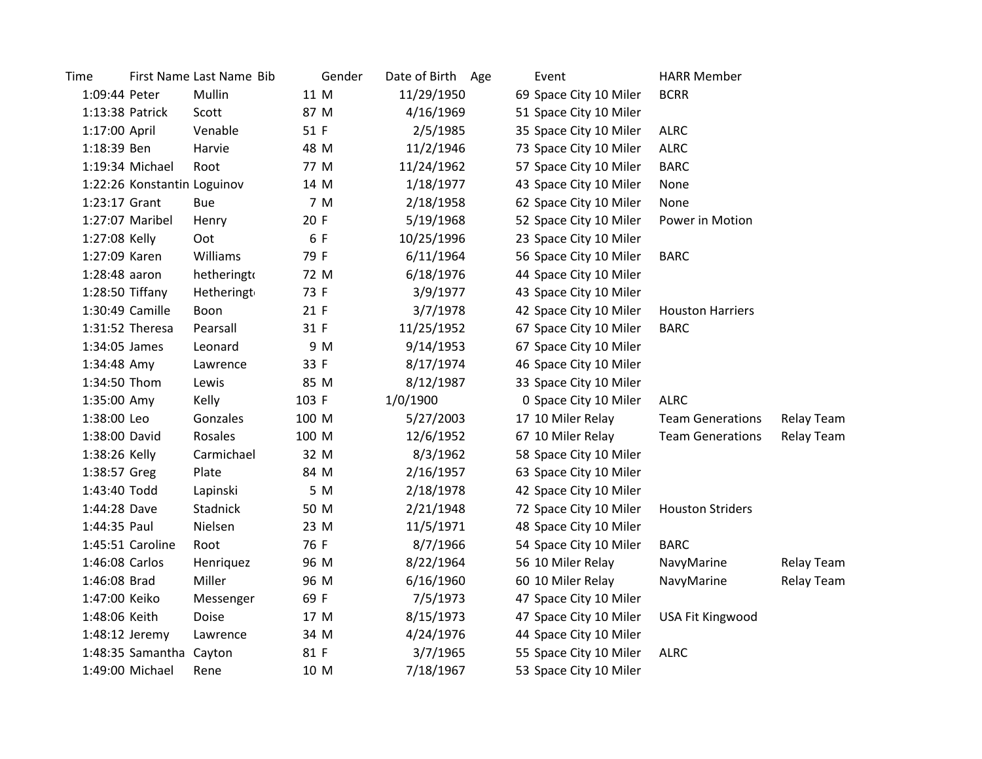| Time            |                             | First Name Last Name Bib | Gender | Date of Birth Age | Event                  | <b>HARR Member</b>      |            |
|-----------------|-----------------------------|--------------------------|--------|-------------------|------------------------|-------------------------|------------|
| 1:09:44 Peter   |                             | Mullin                   | 11 M   | 11/29/1950        | 69 Space City 10 Miler | <b>BCRR</b>             |            |
|                 | 1:13:38 Patrick             | Scott                    | 87 M   | 4/16/1969         | 51 Space City 10 Miler |                         |            |
| 1:17:00 April   |                             | Venable                  | 51 F   | 2/5/1985          | 35 Space City 10 Miler | <b>ALRC</b>             |            |
| 1:18:39 Ben     |                             | Harvie                   | 48 M   | 11/2/1946         | 73 Space City 10 Miler | <b>ALRC</b>             |            |
|                 | 1:19:34 Michael             | Root                     | 77 M   | 11/24/1962        | 57 Space City 10 Miler | <b>BARC</b>             |            |
|                 | 1:22:26 Konstantin Loguinov |                          | 14 M   | 1/18/1977         | 43 Space City 10 Miler | None                    |            |
| 1:23:17 Grant   |                             | <b>Bue</b>               | 7 M    | 2/18/1958         | 62 Space City 10 Miler | None                    |            |
|                 | 1:27:07 Maribel             | Henry                    | 20 F   | 5/19/1968         | 52 Space City 10 Miler | Power in Motion         |            |
| 1:27:08 Kelly   |                             | Oot                      | 6 F    | 10/25/1996        | 23 Space City 10 Miler |                         |            |
| 1:27:09 Karen   |                             | Williams                 | 79 F   | 6/11/1964         | 56 Space City 10 Miler | <b>BARC</b>             |            |
| $1:28:48$ aaron |                             | hetheringto              | 72 M   | 6/18/1976         | 44 Space City 10 Miler |                         |            |
|                 | $1:28:50$ Tiffany           | Hetheringt               | 73 F   | 3/9/1977          | 43 Space City 10 Miler |                         |            |
|                 | 1:30:49 Camille             | Boon                     | 21 F   | 3/7/1978          | 42 Space City 10 Miler | <b>Houston Harriers</b> |            |
|                 | 1:31:52 Theresa             | Pearsall                 | 31 F   | 11/25/1952        | 67 Space City 10 Miler | <b>BARC</b>             |            |
| 1:34:05 James   |                             | Leonard                  | 9 M    | 9/14/1953         | 67 Space City 10 Miler |                         |            |
| 1:34:48 Amy     |                             | Lawrence                 | 33 F   | 8/17/1974         | 46 Space City 10 Miler |                         |            |
| 1:34:50 Thom    |                             | Lewis                    | 85 M   | 8/12/1987         | 33 Space City 10 Miler |                         |            |
| 1:35:00 Amy     |                             | Kelly                    | 103 F  | 1/0/1900          | 0 Space City 10 Miler  | <b>ALRC</b>             |            |
| 1:38:00 Leo     |                             | Gonzales                 | 100 M  | 5/27/2003         | 17 10 Miler Relay      | <b>Team Generations</b> | Relay Team |
| 1:38:00 David   |                             | Rosales                  | 100 M  | 12/6/1952         | 67 10 Miler Relay      | <b>Team Generations</b> | Relay Team |
| 1:38:26 Kelly   |                             | Carmichael               | 32 M   | 8/3/1962          | 58 Space City 10 Miler |                         |            |
| 1:38:57 Greg    |                             | Plate                    | 84 M   | 2/16/1957         | 63 Space City 10 Miler |                         |            |
| 1:43:40 Todd    |                             | Lapinski                 | 5 M    | 2/18/1978         | 42 Space City 10 Miler |                         |            |
| 1:44:28 Dave    |                             | Stadnick                 | 50 M   | 2/21/1948         | 72 Space City 10 Miler | <b>Houston Striders</b> |            |
| 1:44:35 Paul    |                             | Nielsen                  | 23 M   | 11/5/1971         | 48 Space City 10 Miler |                         |            |
|                 | 1:45:51 Caroline            | Root                     | 76 F   | 8/7/1966          | 54 Space City 10 Miler | <b>BARC</b>             |            |
| 1:46:08 Carlos  |                             | Henriquez                | 96 M   | 8/22/1964         | 56 10 Miler Relay      | NavyMarine              | Relay Team |
| 1:46:08 Brad    |                             | Miller                   | 96 M   | 6/16/1960         | 60 10 Miler Relay      | NavyMarine              | Relay Team |
| 1:47:00 Keiko   |                             | Messenger                | 69 F   | 7/5/1973          | 47 Space City 10 Miler |                         |            |
| 1:48:06 Keith   |                             | Doise                    | 17 M   | 8/15/1973         | 47 Space City 10 Miler | USA Fit Kingwood        |            |
|                 | 1:48:12 Jeremy              | Lawrence                 | 34 M   | 4/24/1976         | 44 Space City 10 Miler |                         |            |
|                 | 1:48:35 Samantha Cayton     |                          | 81 F   | 3/7/1965          | 55 Space City 10 Miler | <b>ALRC</b>             |            |
|                 | 1:49:00 Michael             | Rene                     | 10 M   | 7/18/1967         | 53 Space City 10 Miler |                         |            |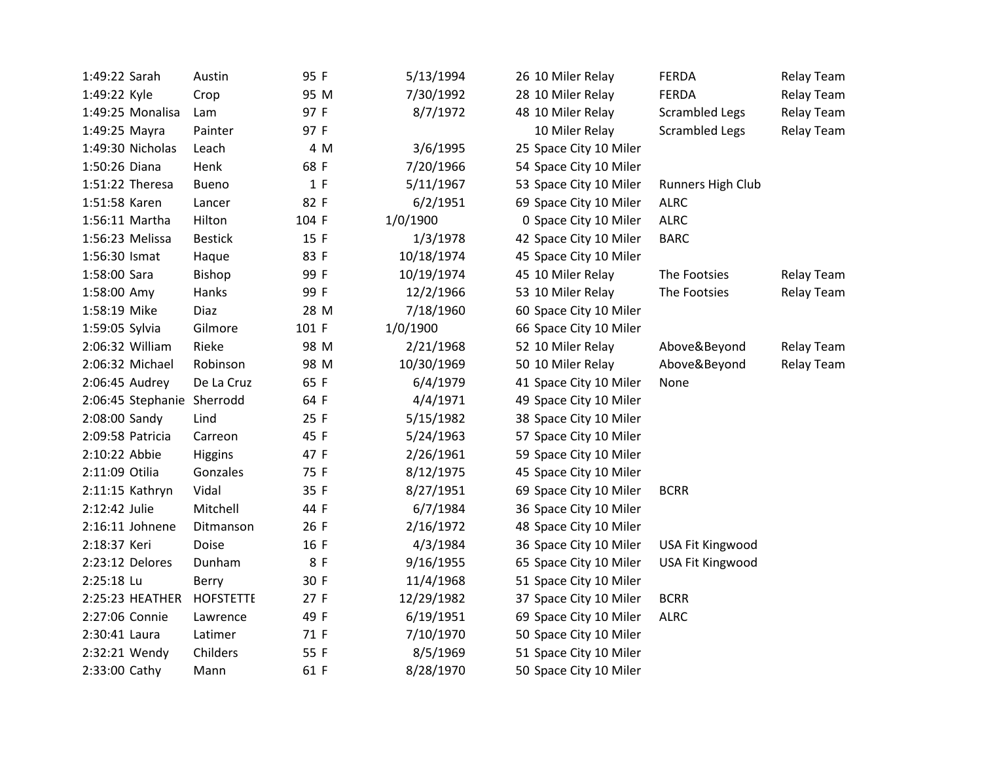| 1:49:22 Sarah              | Austin           | 95 F  | 5/13/1994  | 26 10 Miler Relay      | <b>FERDA</b>          | <b>Relay Team</b> |
|----------------------------|------------------|-------|------------|------------------------|-----------------------|-------------------|
| 1:49:22 Kyle               | Crop             | 95 M  | 7/30/1992  | 28 10 Miler Relay      | <b>FERDA</b>          | <b>Relay Team</b> |
| 1:49:25 Monalisa           | Lam              | 97 F  | 8/7/1972   | 48 10 Miler Relay      | <b>Scrambled Legs</b> | Relay Team        |
| 1:49:25 Mayra              | Painter          | 97 F  |            | 10 Miler Relay         | <b>Scrambled Legs</b> | Relay Team        |
| 1:49:30 Nicholas           | Leach            | 4 M   | 3/6/1995   | 25 Space City 10 Miler |                       |                   |
| 1:50:26 Diana              | Henk             | 68 F  | 7/20/1966  | 54 Space City 10 Miler |                       |                   |
| 1:51:22 Theresa            | Bueno            | 1 F   | 5/11/1967  | 53 Space City 10 Miler | Runners High Club     |                   |
| 1:51:58 Karen              | Lancer           | 82 F  | 6/2/1951   | 69 Space City 10 Miler | <b>ALRC</b>           |                   |
| 1:56:11 Martha             | Hilton           | 104 F | 1/0/1900   | 0 Space City 10 Miler  | <b>ALRC</b>           |                   |
| 1:56:23 Melissa            | <b>Bestick</b>   | 15 F  | 1/3/1978   | 42 Space City 10 Miler | <b>BARC</b>           |                   |
| 1:56:30 Ismat              | Haque            | 83 F  | 10/18/1974 | 45 Space City 10 Miler |                       |                   |
| 1:58:00 Sara               | <b>Bishop</b>    | 99 F  | 10/19/1974 | 45 10 Miler Relay      | The Footsies          | Relay Team        |
| 1:58:00 Amy                | Hanks            | 99 F  | 12/2/1966  | 53 10 Miler Relay      | The Footsies          | Relay Team        |
| 1:58:19 Mike               | Diaz             | 28 M  | 7/18/1960  | 60 Space City 10 Miler |                       |                   |
| 1:59:05 Sylvia             | Gilmore          | 101 F | 1/0/1900   | 66 Space City 10 Miler |                       |                   |
| 2:06:32 William            | Rieke            | 98 M  | 2/21/1968  | 52 10 Miler Relay      | Above&Beyond          | Relay Team        |
| 2:06:32 Michael            | Robinson         | 98 M  | 10/30/1969 | 50 10 Miler Relay      | Above&Beyond          | Relay Team        |
| 2:06:45 Audrey             | De La Cruz       | 65 F  | 6/4/1979   | 41 Space City 10 Miler | None                  |                   |
| 2:06:45 Stephanie Sherrodd |                  | 64 F  | 4/4/1971   | 49 Space City 10 Miler |                       |                   |
| 2:08:00 Sandy              | Lind             | 25 F  | 5/15/1982  | 38 Space City 10 Miler |                       |                   |
| 2:09:58 Patricia           | Carreon          | 45 F  | 5/24/1963  | 57 Space City 10 Miler |                       |                   |
| 2:10:22 Abbie              | Higgins          | 47 F  | 2/26/1961  | 59 Space City 10 Miler |                       |                   |
| 2:11:09 Otilia             | Gonzales         | 75 F  | 8/12/1975  | 45 Space City 10 Miler |                       |                   |
| 2:11:15 Kathryn            | Vidal            | 35 F  | 8/27/1951  | 69 Space City 10 Miler | <b>BCRR</b>           |                   |
| 2:12:42 Julie              | Mitchell         | 44 F  | 6/7/1984   | 36 Space City 10 Miler |                       |                   |
| 2:16:11 Johnene            | Ditmanson        | 26 F  | 2/16/1972  | 48 Space City 10 Miler |                       |                   |
| 2:18:37 Keri               | Doise            | 16 F  | 4/3/1984   | 36 Space City 10 Miler | USA Fit Kingwood      |                   |
| 2:23:12 Delores            | Dunham           | 8 F   | 9/16/1955  | 65 Space City 10 Miler | USA Fit Kingwood      |                   |
| 2:25:18 Lu                 | Berry            | 30 F  | 11/4/1968  | 51 Space City 10 Miler |                       |                   |
| 2:25:23 HEATHER            | <b>HOFSTETTE</b> | 27 F  | 12/29/1982 | 37 Space City 10 Miler | <b>BCRR</b>           |                   |
| 2:27:06 Connie             | Lawrence         | 49 F  | 6/19/1951  | 69 Space City 10 Miler | <b>ALRC</b>           |                   |
| 2:30:41 Laura              | Latimer          | 71 F  | 7/10/1970  | 50 Space City 10 Miler |                       |                   |
| 2:32:21 Wendy              | Childers         | 55 F  | 8/5/1969   | 51 Space City 10 Miler |                       |                   |
| 2:33:00 Cathy              | Mann             | 61 F  | 8/28/1970  | 50 Space City 10 Miler |                       |                   |